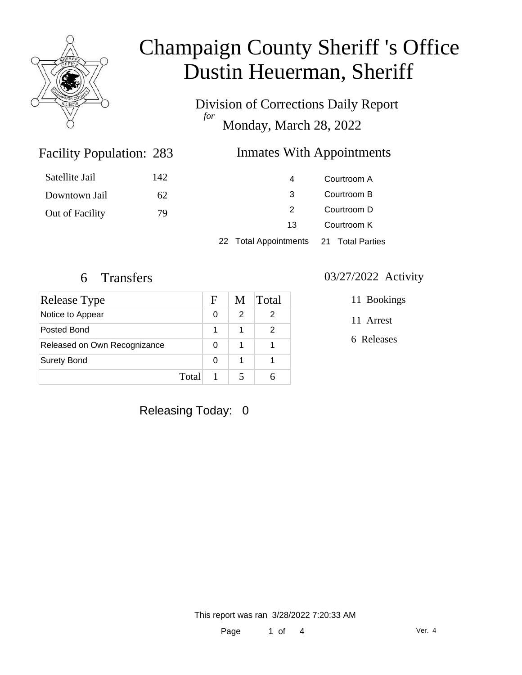

Division of Corrections Daily Report *for* Monday, March 28, 2022

### Inmates With Appointments

| Satellite Jail  | 142 | 4                                      |             | Courtroom A |
|-----------------|-----|----------------------------------------|-------------|-------------|
| Downtown Jail   | 62  | 3                                      |             | Courtroom B |
| Out of Facility | 79  | 2                                      | Courtroom D |             |
|                 |     | 13                                     |             | Courtroom K |
|                 |     | 22 Total Appointments 21 Total Parties |             |             |

Facility Population: 283

| Release Type                 | F     | M | <b>Total</b> |
|------------------------------|-------|---|--------------|
| Notice to Appear             | 0     |   | 2            |
| Posted Bond                  |       |   | 2            |
| Released on Own Recognizance | 0     |   |              |
| <b>Surety Bond</b>           | 0     |   |              |
|                              | Total |   |              |

#### 6 Transfers 03/27/2022 Activity

11 Bookings

11 Arrest

6 Releases

Releasing Today: 0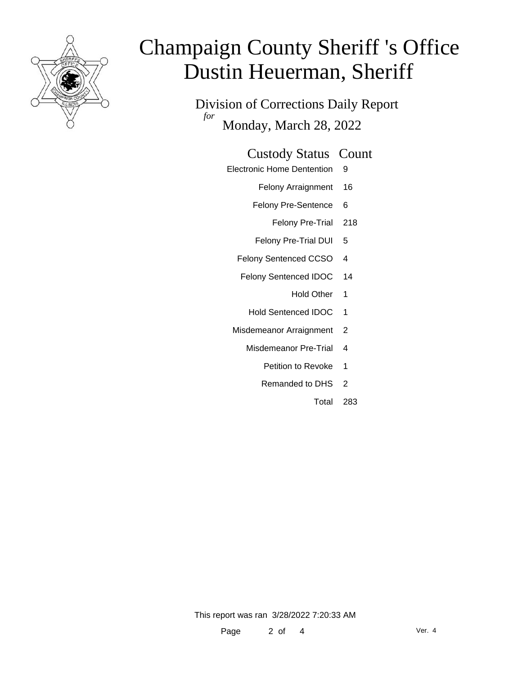

Division of Corrections Daily Report *for* Monday, March 28, 2022

#### Custody Status Count

- Electronic Home Dentention 9
	- Felony Arraignment 16
	- Felony Pre-Sentence 6
		- Felony Pre-Trial 218
	- Felony Pre-Trial DUI 5
	- Felony Sentenced CCSO 4
	- Felony Sentenced IDOC 14
		- Hold Other 1
		- Hold Sentenced IDOC 1
	- Misdemeanor Arraignment 2
		- Misdemeanor Pre-Trial 4
			- Petition to Revoke 1
			- Remanded to DHS 2
				- Total 283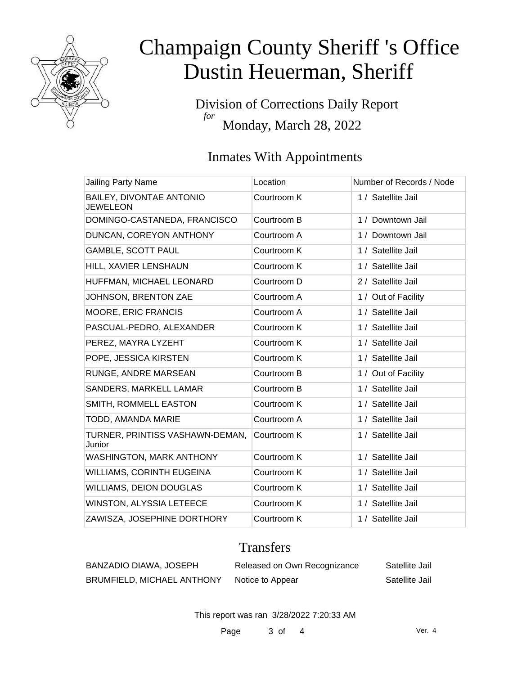

Division of Corrections Daily Report *for* Monday, March 28, 2022

### Inmates With Appointments

| Location    | Number of Records / Node |
|-------------|--------------------------|
| Courtroom K | 1 / Satellite Jail       |
| Courtroom B | 1 / Downtown Jail        |
| Courtroom A | 1 / Downtown Jail        |
| Courtroom K | 1 / Satellite Jail       |
| Courtroom K | 1 / Satellite Jail       |
| Courtroom D | 2 / Satellite Jail       |
| Courtroom A | 1 / Out of Facility      |
| Courtroom A | 1 / Satellite Jail       |
| Courtroom K | 1 / Satellite Jail       |
| Courtroom K | 1 / Satellite Jail       |
| Courtroom K | 1 / Satellite Jail       |
| Courtroom B | 1 / Out of Facility      |
| Courtroom B | 1 / Satellite Jail       |
| Courtroom K | 1 / Satellite Jail       |
| Courtroom A | 1 / Satellite Jail       |
| Courtroom K | 1 / Satellite Jail       |
| Courtroom K | 1 / Satellite Jail       |
| Courtroom K | 1 / Satellite Jail       |
| Courtroom K | 1 / Satellite Jail       |
| Courtroom K | 1 / Satellite Jail       |
| Courtroom K | 1 / Satellite Jail       |
|             |                          |

### **Transfers**

| <b>BANZADIO DIAWA, JOSEPH</b>     | Released on Own Recognizance | Satellite Jail |
|-----------------------------------|------------------------------|----------------|
| <b>BRUMFIELD, MICHAEL ANTHONY</b> | Notice to Appear             | Satellite Jail |